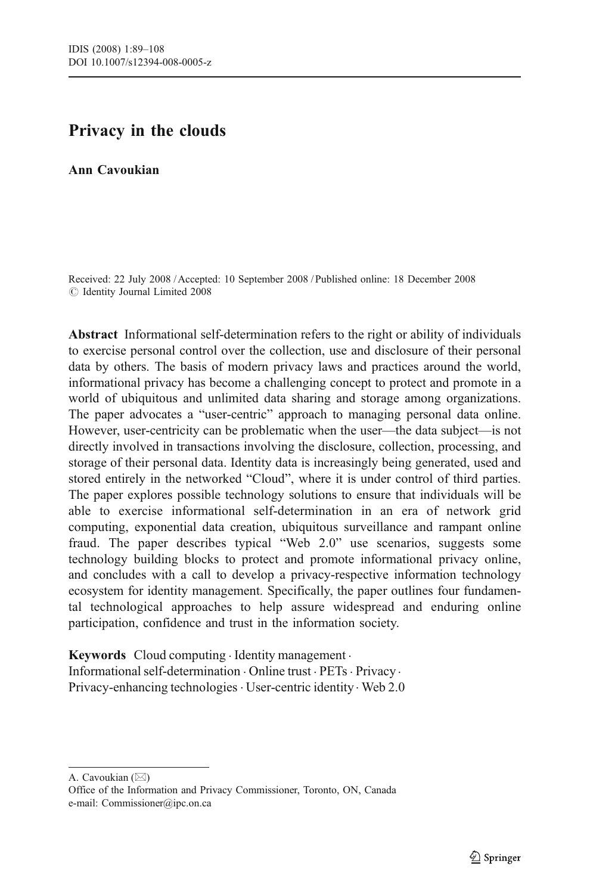# Privacy in the clouds

# Ann Cavoukian

Received: 22 July 2008 / Accepted: 10 September 2008 / Published online: 18 December 2008  $\circ$  Identity Journal Limited 2008

Abstract Informational self-determination refers to the right or ability of individuals to exercise personal control over the collection, use and disclosure of their personal data by others. The basis of modern privacy laws and practices around the world, informational privacy has become a challenging concept to protect and promote in a world of ubiquitous and unlimited data sharing and storage among organizations. The paper advocates a "user-centric" approach to managing personal data online. However, user-centricity can be problematic when the user—the data subject—is not directly involved in transactions involving the disclosure, collection, processing, and storage of their personal data. Identity data is increasingly being generated, used and stored entirely in the networked "Cloud", where it is under control of third parties. The paper explores possible technology solutions to ensure that individuals will be able to exercise informational self-determination in an era of network grid computing, exponential data creation, ubiquitous surveillance and rampant online fraud. The paper describes typical "Web 2.0" use scenarios, suggests some technology building blocks to protect and promote informational privacy online, and concludes with a call to develop a privacy-respective information technology ecosystem for identity management. Specifically, the paper outlines four fundamental technological approaches to help assure widespread and enduring online participation, confidence and trust in the information society.

Keywords Cloud computing . Identity management . Informational self-determination . Online trust . PETs. Privacy . Privacy-enhancing technologies . User-centric identity . Web 2.0

A. Cavoukian ( $\boxtimes$ )

Office of the Information and Privacy Commissioner, Toronto, ON, Canada e-mail: Commissioner@ipc.on.ca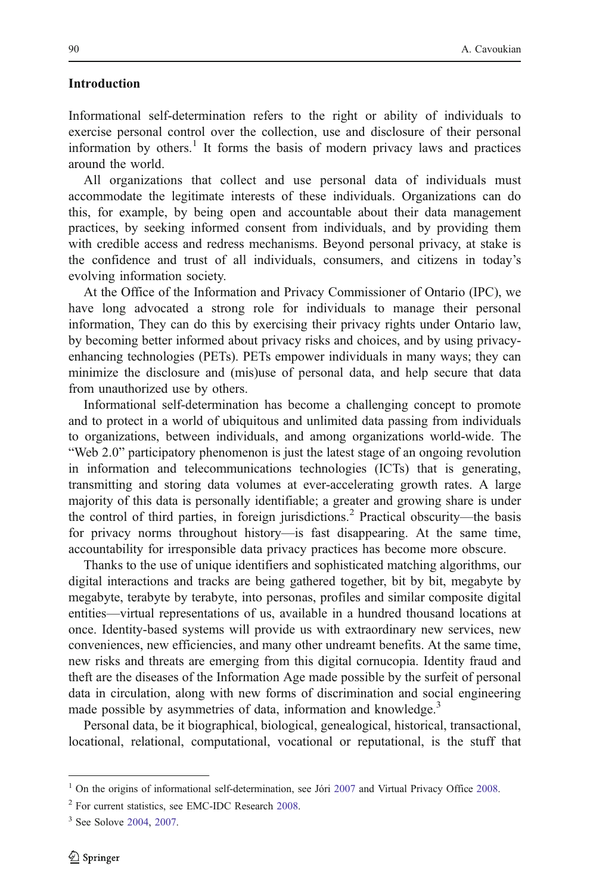### Introduction

Informational self-determination refers to the right or ability of individuals to exercise personal control over the collection, use and disclosure of their personal information by others.<sup>1</sup> It forms the basis of modern privacy laws and practices around the world.

All organizations that collect and use personal data of individuals must accommodate the legitimate interests of these individuals. Organizations can do this, for example, by being open and accountable about their data management practices, by seeking informed consent from individuals, and by providing them with credible access and redress mechanisms. Beyond personal privacy, at stake is the confidence and trust of all individuals, consumers, and citizens in today's evolving information society.

At the Office of the Information and Privacy Commissioner of Ontario (IPC), we have long advocated a strong role for individuals to manage their personal information, They can do this by exercising their privacy rights under Ontario law, by becoming better informed about privacy risks and choices, and by using privacyenhancing technologies (PETs). PETs empower individuals in many ways; they can minimize the disclosure and (mis)use of personal data, and help secure that data from unauthorized use by others.

Informational self-determination has become a challenging concept to promote and to protect in a world of ubiquitous and unlimited data passing from individuals to organizations, between individuals, and among organizations world-wide. The "Web 2.0" participatory phenomenon is just the latest stage of an ongoing revolution in information and telecommunications technologies (ICTs) that is generating, transmitting and storing data volumes at ever-accelerating growth rates. A large majority of this data is personally identifiable; a greater and growing share is under the control of third parties, in foreign jurisdictions.<sup>2</sup> Practical obscurity—the basis for privacy norms throughout history—is fast disappearing. At the same time, accountability for irresponsible data privacy practices has become more obscure.

Thanks to the use of unique identifiers and sophisticated matching algorithms, our digital interactions and tracks are being gathered together, bit by bit, megabyte by megabyte, terabyte by terabyte, into personas, profiles and similar composite digital entities—virtual representations of us, available in a hundred thousand locations at once. Identity-based systems will provide us with extraordinary new services, new conveniences, new efficiencies, and many other undreamt benefits. At the same time, new risks and threats are emerging from this digital cornucopia. Identity fraud and theft are the diseases of the Information Age made possible by the surfeit of personal data in circulation, along with new forms of discrimination and social engineering made possible by asymmetries of data, information and knowledge.<sup>3</sup>

Personal data, be it biographical, biological, genealogical, historical, transactional, locational, relational, computational, vocational or reputational, is the stuff that

<sup>&</sup>lt;sup>1</sup> On the origins of informational self-determination, see Jóri [2007](#page-16-0) and Virtual Privacy Office [2008.](#page-16-0)

<sup>2</sup> For current statistics, see EMC-IDC Research [2008](#page-15-0).

<sup>3</sup> See Solove [2004,](#page-16-0) [2007](#page-16-0).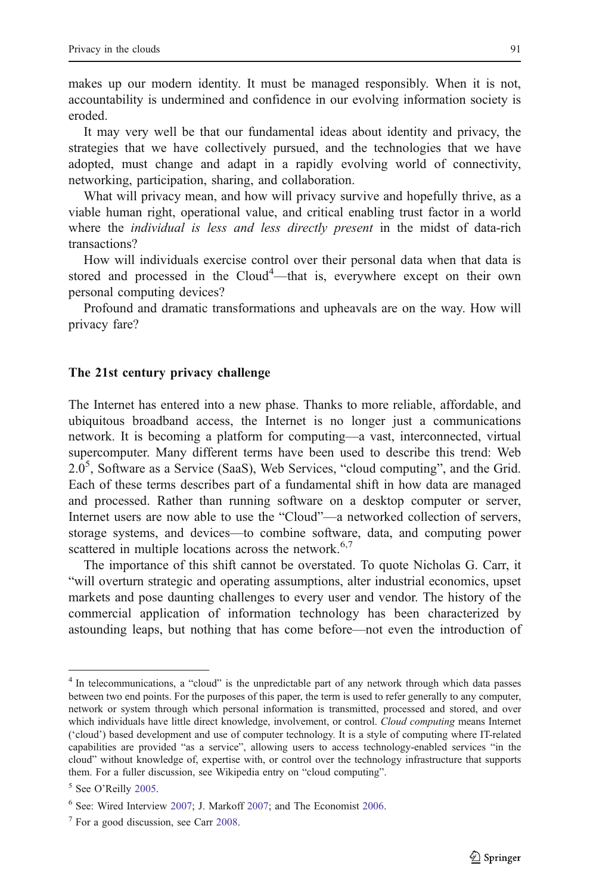makes up our modern identity. It must be managed responsibly. When it is not, accountability is undermined and confidence in our evolving information society is eroded.

It may very well be that our fundamental ideas about identity and privacy, the strategies that we have collectively pursued, and the technologies that we have adopted, must change and adapt in a rapidly evolving world of connectivity, networking, participation, sharing, and collaboration.

What will privacy mean, and how will privacy survive and hopefully thrive, as a viable human right, operational value, and critical enabling trust factor in a world where the *individual is less and less directly present* in the midst of data-rich transactions?

How will individuals exercise control over their personal data when that data is stored and processed in the Cloud<sup>4</sup>—that is, everywhere except on their own personal computing devices?

Profound and dramatic transformations and upheavals are on the way. How will privacy fare?

### The 21st century privacy challenge

The Internet has entered into a new phase. Thanks to more reliable, affordable, and ubiquitous broadband access, the Internet is no longer just a communications network. It is becoming a platform for computing—a vast, interconnected, virtual supercomputer. Many different terms have been used to describe this trend: Web 2.0<sup>5</sup>, Software as a Service (SaaS), Web Services, "cloud computing", and the Grid. Each of these terms describes part of a fundamental shift in how data are managed and processed. Rather than running software on a desktop computer or server, Internet users are now able to use the "Cloud"—a networked collection of servers, storage systems, and devices—to combine software, data, and computing power scattered in multiple locations across the network. $6,7$ 

The importance of this shift cannot be overstated. To quote Nicholas G. Carr, it "will overturn strategic and operating assumptions, alter industrial economics, upset markets and pose daunting challenges to every user and vendor. The history of the commercial application of information technology has been characterized by astounding leaps, but nothing that has come before—not even the introduction of

<sup>&</sup>lt;sup>4</sup> In telecommunications, a "cloud" is the unpredictable part of any network through which data passes between two end points. For the purposes of this paper, the term is used to refer generally to any computer, network or system through which personal information is transmitted, processed and stored, and over which individuals have little direct knowledge, involvement, or control. Cloud computing means Internet ('cloud') based development and use of computer technology. It is a style of computing where IT-related capabilities are provided "as a service", allowing users to access technology-enabled services "in the cloud" without knowledge of, expertise with, or control over the technology infrastructure that supports them. For a fuller discussion, see Wikipedia entry on "cloud computing".

<sup>5</sup> See O'Reilly [2005](#page-16-0).

<sup>&</sup>lt;sup>6</sup> See: Wired Interview [2007](#page-16-0); J. Markoff 2007; and The Economist [2006](#page-16-0).

 $7$  For a good discussion, see Carr [2008](#page-15-0).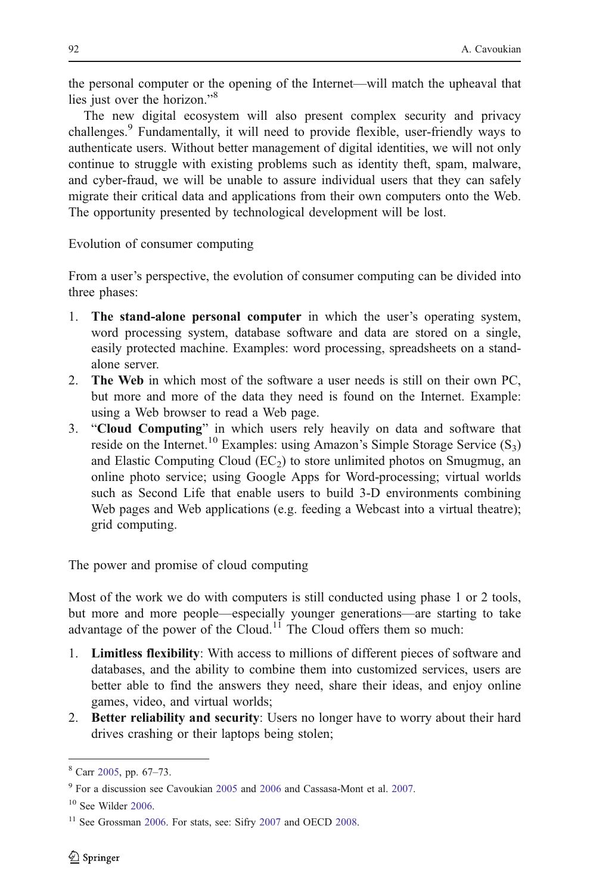the personal computer or the opening of the Internet—will match the upheaval that lies just over the horizon."<sup>8</sup>

The new digital ecosystem will also present complex security and privacy challenges.<sup>9</sup> Fundamentally, it will need to provide flexible, user-friendly ways to authenticate users. Without better management of digital identities, we will not only continue to struggle with existing problems such as identity theft, spam, malware, and cyber-fraud, we will be unable to assure individual users that they can safely migrate their critical data and applications from their own computers onto the Web. The opportunity presented by technological development will be lost.

Evolution of consumer computing

From a user's perspective, the evolution of consumer computing can be divided into three phases:

- 1. The stand-alone personal computer in which the user's operating system, word processing system, database software and data are stored on a single, easily protected machine. Examples: word processing, spreadsheets on a standalone server.
- 2. The Web in which most of the software a user needs is still on their own PC, but more and more of the data they need is found on the Internet. Example: using a Web browser to read a Web page.
- 3. "Cloud Computing" in which users rely heavily on data and software that reside on the Internet.<sup>10</sup> Examples: using Amazon's Simple Storage Service  $(S_3)$ and Elastic Computing Cloud  $(EC_2)$  to store unlimited photos on Smugmug, an online photo service; using Google Apps for Word-processing; virtual worlds such as Second Life that enable users to build 3-D environments combining Web pages and Web applications (e.g. feeding a Webcast into a virtual theatre); grid computing.

The power and promise of cloud computing

Most of the work we do with computers is still conducted using phase 1 or 2 tools, but more and more people—especially younger generations—are starting to take advantage of the power of the Cloud.<sup>11</sup> The Cloud offers them so much:

- 1. Limitless flexibility: With access to millions of different pieces of software and databases, and the ability to combine them into customized services, users are better able to find the answers they need, share their ideas, and enjoy online games, video, and virtual worlds;
- 2. Better reliability and security: Users no longer have to worry about their hard drives crashing or their laptops being stolen;

<sup>8</sup> Carr [2005,](#page-15-0) pp. 67–73.

<sup>9</sup> For a discussion see Cavoukian [2005](#page-15-0) and [2006](#page-15-0) and Cassasa-Mont et al. [2007.](#page-15-0)

 $10$  See Wilder [2006](#page-16-0).

<sup>&</sup>lt;sup>11</sup> See Grossman [2006.](#page-15-0) For stats, see: Sifry [2007](#page-16-0) and OECD [2008](#page-17-0).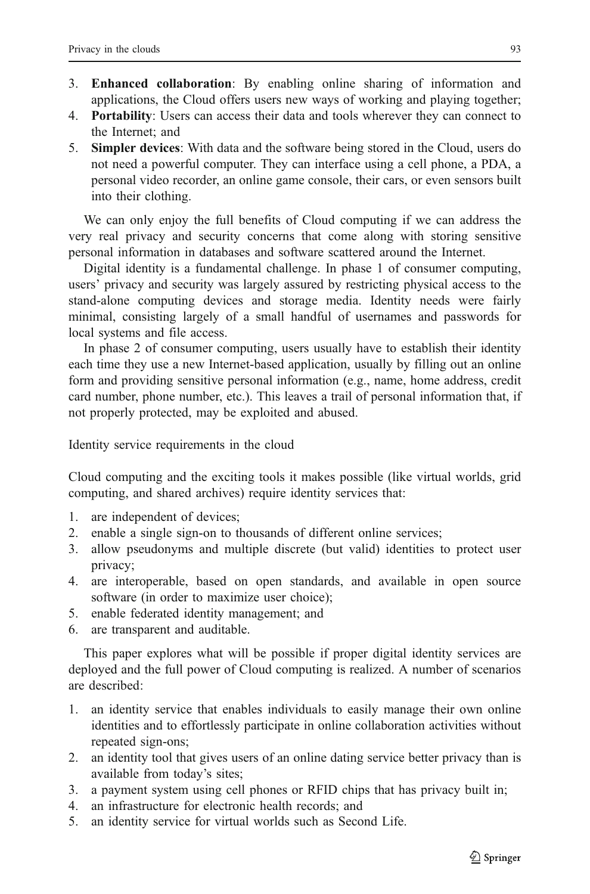- 3. Enhanced collaboration: By enabling online sharing of information and applications, the Cloud offers users new ways of working and playing together;
- 4. Portability: Users can access their data and tools wherever they can connect to the Internet; and
- 5. Simpler devices: With data and the software being stored in the Cloud, users do not need a powerful computer. They can interface using a cell phone, a PDA, a personal video recorder, an online game console, their cars, or even sensors built into their clothing.

We can only enjoy the full benefits of Cloud computing if we can address the very real privacy and security concerns that come along with storing sensitive personal information in databases and software scattered around the Internet.

Digital identity is a fundamental challenge. In phase 1 of consumer computing, users' privacy and security was largely assured by restricting physical access to the stand-alone computing devices and storage media. Identity needs were fairly minimal, consisting largely of a small handful of usernames and passwords for local systems and file access.

In phase 2 of consumer computing, users usually have to establish their identity each time they use a new Internet-based application, usually by filling out an online form and providing sensitive personal information (e.g., name, home address, credit card number, phone number, etc.). This leaves a trail of personal information that, if not properly protected, may be exploited and abused.

Identity service requirements in the cloud

Cloud computing and the exciting tools it makes possible (like virtual worlds, grid computing, and shared archives) require identity services that:

- 1. are independent of devices;
- 2. enable a single sign-on to thousands of different online services;
- 3. allow pseudonyms and multiple discrete (but valid) identities to protect user privacy;
- 4. are interoperable, based on open standards, and available in open source software (in order to maximize user choice);
- 5. enable federated identity management; and
- 6. are transparent and auditable.

This paper explores what will be possible if proper digital identity services are deployed and the full power of Cloud computing is realized. A number of scenarios are described:

- 1. an identity service that enables individuals to easily manage their own online identities and to effortlessly participate in online collaboration activities without repeated sign-ons;
- 2. an identity tool that gives users of an online dating service better privacy than is available from today's sites;
- 3. a payment system using cell phones or RFID chips that has privacy built in;
- 4. an infrastructure for electronic health records; and
- 5. an identity service for virtual worlds such as Second Life.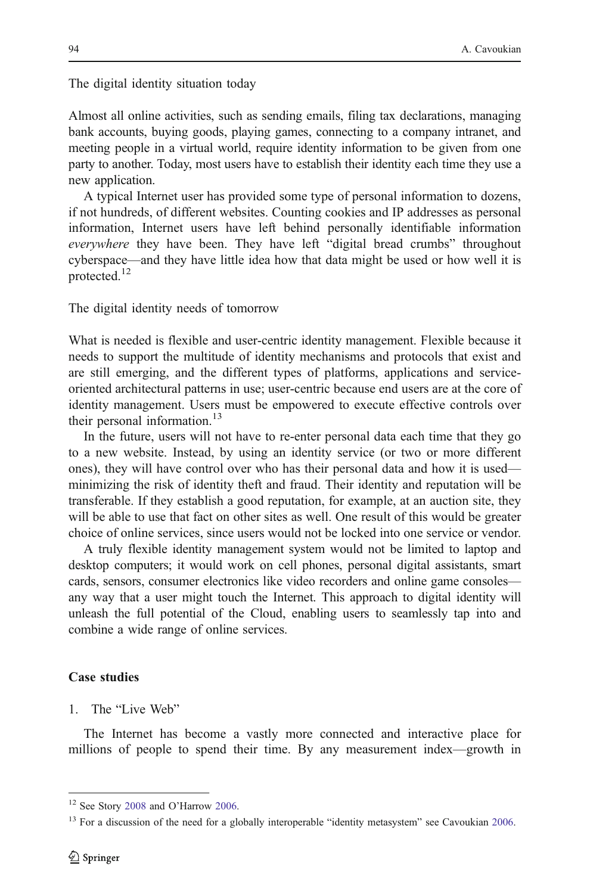The digital identity situation today

Almost all online activities, such as sending emails, filing tax declarations, managing bank accounts, buying goods, playing games, connecting to a company intranet, and meeting people in a virtual world, require identity information to be given from one party to another. Today, most users have to establish their identity each time they use a new application.

A typical Internet user has provided some type of personal information to dozens, if not hundreds, of different websites. Counting cookies and IP addresses as personal information, Internet users have left behind personally identifiable information everywhere they have been. They have left "digital bread crumbs" throughout cyberspace—and they have little idea how that data might be used or how well it is protected.<sup>12</sup>

The digital identity needs of tomorrow

What is needed is flexible and user-centric identity management. Flexible because it needs to support the multitude of identity mechanisms and protocols that exist and are still emerging, and the different types of platforms, applications and serviceoriented architectural patterns in use; user-centric because end users are at the core of identity management. Users must be empowered to execute effective controls over their personal information.<sup>13</sup>

In the future, users will not have to re-enter personal data each time that they go to a new website. Instead, by using an identity service (or two or more different ones), they will have control over who has their personal data and how it is used minimizing the risk of identity theft and fraud. Their identity and reputation will be transferable. If they establish a good reputation, for example, at an auction site, they will be able to use that fact on other sites as well. One result of this would be greater choice of online services, since users would not be locked into one service or vendor.

A truly flexible identity management system would not be limited to laptop and desktop computers; it would work on cell phones, personal digital assistants, smart cards, sensors, consumer electronics like video recorders and online game consoles any way that a user might touch the Internet. This approach to digital identity will unleash the full potential of the Cloud, enabling users to seamlessly tap into and combine a wide range of online services.

### Case studies

1. The "Live Web"

The Internet has become a vastly more connected and interactive place for millions of people to spend their time. By any measurement index—growth in

<sup>12</sup> See Story [2008](#page-16-0) and O'Harrow [2006](#page-16-0).

<sup>&</sup>lt;sup>13</sup> For a discussion of the need for a globally interoperable "identity metasystem" see Cavoukian [2006.](#page-15-0)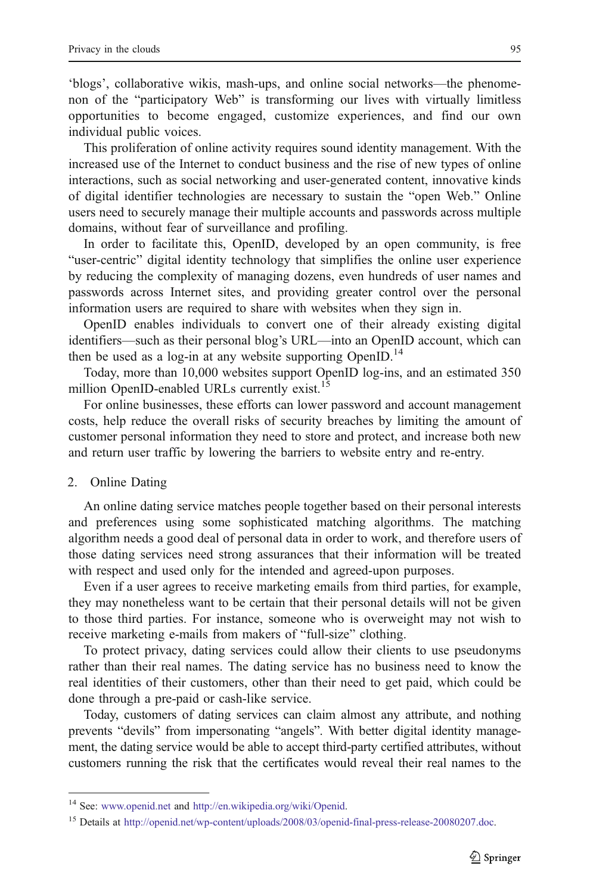'blogs', collaborative wikis, mash-ups, and online social networks—the phenomenon of the "participatory Web" is transforming our lives with virtually limitless opportunities to become engaged, customize experiences, and find our own individual public voices.

This proliferation of online activity requires sound identity management. With the increased use of the Internet to conduct business and the rise of new types of online interactions, such as social networking and user-generated content, innovative kinds of digital identifier technologies are necessary to sustain the "open Web." Online users need to securely manage their multiple accounts and passwords across multiple domains, without fear of surveillance and profiling.

In order to facilitate this, OpenID, developed by an open community, is free "user-centric" digital identity technology that simplifies the online user experience by reducing the complexity of managing dozens, even hundreds of user names and passwords across Internet sites, and providing greater control over the personal information users are required to share with websites when they sign in.

OpenID enables individuals to convert one of their already existing digital identifiers—such as their personal blog's URL—into an OpenID account, which can then be used as a log-in at any website supporting OpenID.<sup>14</sup>

Today, more than 10,000 websites support OpenID log-ins, and an estimated 350 million OpenID-enabled URLs currently exist.<sup>15</sup>

For online businesses, these efforts can lower password and account management costs, help reduce the overall risks of security breaches by limiting the amount of customer personal information they need to store and protect, and increase both new and return user traffic by lowering the barriers to website entry and re-entry.

#### 2. Online Dating

An online dating service matches people together based on their personal interests and preferences using some sophisticated matching algorithms. The matching algorithm needs a good deal of personal data in order to work, and therefore users of those dating services need strong assurances that their information will be treated with respect and used only for the intended and agreed-upon purposes.

Even if a user agrees to receive marketing emails from third parties, for example, they may nonetheless want to be certain that their personal details will not be given to those third parties. For instance, someone who is overweight may not wish to receive marketing e-mails from makers of "full-size" clothing.

To protect privacy, dating services could allow their clients to use pseudonyms rather than their real names. The dating service has no business need to know the real identities of their customers, other than their need to get paid, which could be done through a pre-paid or cash-like service.

Today, customers of dating services can claim almost any attribute, and nothing prevents "devils" from impersonating "angels". With better digital identity management, the dating service would be able to accept third-party certified attributes, without customers running the risk that the certificates would reveal their real names to the

<sup>14</sup> See: [www.openid.net](http://www.openid.net) and <http://en.wikipedia.org/wiki/Openid>.

<sup>15</sup> Details at [http://openid.net/wp-content/uploads/2008/03/openid-final-press-release-20080207.doc.](http://openid.net/wp-content/uploads/2008/03/openid-final-press-release-20080207.doc)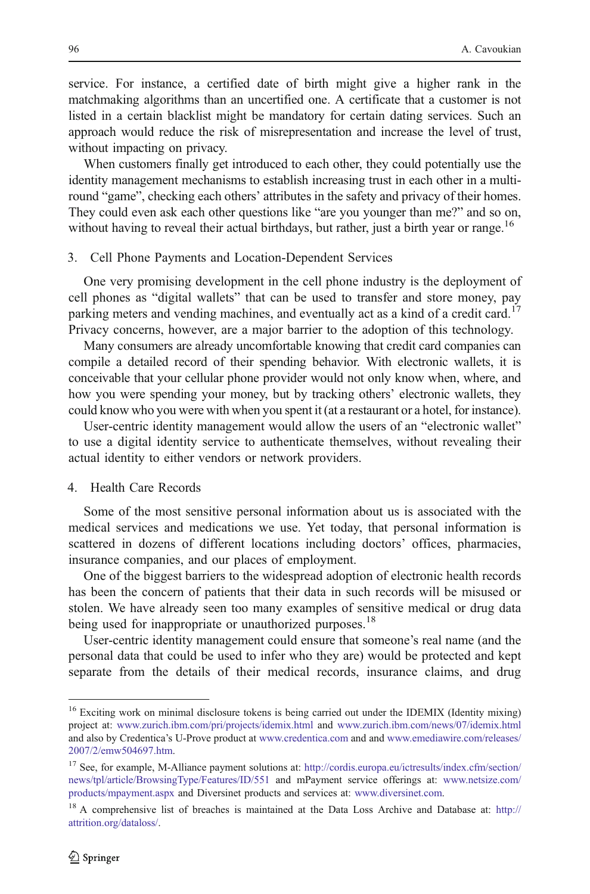service. For instance, a certified date of birth might give a higher rank in the matchmaking algorithms than an uncertified one. A certificate that a customer is not listed in a certain blacklist might be mandatory for certain dating services. Such an approach would reduce the risk of misrepresentation and increase the level of trust, without impacting on privacy.

When customers finally get introduced to each other, they could potentially use the identity management mechanisms to establish increasing trust in each other in a multiround "game", checking each others' attributes in the safety and privacy of their homes. They could even ask each other questions like "are you younger than me?" and so on, without having to reveal their actual birthdays, but rather, just a birth year or range.<sup>16</sup>

#### 3. Cell Phone Payments and Location-Dependent Services

One very promising development in the cell phone industry is the deployment of cell phones as "digital wallets" that can be used to transfer and store money, pay parking meters and vending machines, and eventually act as a kind of a credit card.<sup>17</sup> Privacy concerns, however, are a major barrier to the adoption of this technology.

Many consumers are already uncomfortable knowing that credit card companies can compile a detailed record of their spending behavior. With electronic wallets, it is conceivable that your cellular phone provider would not only know when, where, and how you were spending your money, but by tracking others' electronic wallets, they could know who you were with when you spent it (at a restaurant or a hotel, for instance).

User-centric identity management would allow the users of an "electronic wallet" to use a digital identity service to authenticate themselves, without revealing their actual identity to either vendors or network providers.

### 4. Health Care Records

Some of the most sensitive personal information about us is associated with the medical services and medications we use. Yet today, that personal information is scattered in dozens of different locations including doctors' offices, pharmacies, insurance companies, and our places of employment.

One of the biggest barriers to the widespread adoption of electronic health records has been the concern of patients that their data in such records will be misused or stolen. We have already seen too many examples of sensitive medical or drug data being used for inappropriate or unauthorized purposes.<sup>18</sup>

User-centric identity management could ensure that someone's real name (and the personal data that could be used to infer who they are) would be protected and kept separate from the details of their medical records, insurance claims, and drug

<sup>&</sup>lt;sup>16</sup> Exciting work on minimal disclosure tokens is being carried out under the IDEMIX (Identity mixing) project at: <www.zurich.ibm.com/pri/projects/idemix.html> and [www.zurich.ibm.com/news/07/idemix.html](http://www.zurich.ibm.com/news/07/idemix.html) and also by Credentica's U-Prove product at <www.credentica.com> and and [www.emediawire.com/releases/](http://www.emediawire.com/releases/2007/2/emw504697.htm) [2007/2/emw504697.htm.](http://www.emediawire.com/releases/2007/2/emw504697.htm)

<sup>17</sup> See, for example, M-Alliance payment solutions at: [http://cordis.europa.eu/ictresults/index.cfm/section/](http://cordis.europa.eu/ictresults/index.cfm/section/news/tpl/article/BrowsingType/Features/ID/551) [news/tpl/article/BrowsingType/Features/ID/551](http://cordis.europa.eu/ictresults/index.cfm/section/news/tpl/article/BrowsingType/Features/ID/551) and mPayment service offerings at: [www.netsize.com/](http://www.netsize.com/products/mpayment.aspx) [products/mpayment.aspx](http://www.netsize.com/products/mpayment.aspx) and Diversinet products and services at: [www.diversinet.com](http://www.diversinet.com).

<sup>&</sup>lt;sup>18</sup> A comprehensive list of breaches is maintained at the Data Loss Archive and Database at: [http://](http://attrition.org/dataloss/) [attrition.org/dataloss/.](http://attrition.org/dataloss/)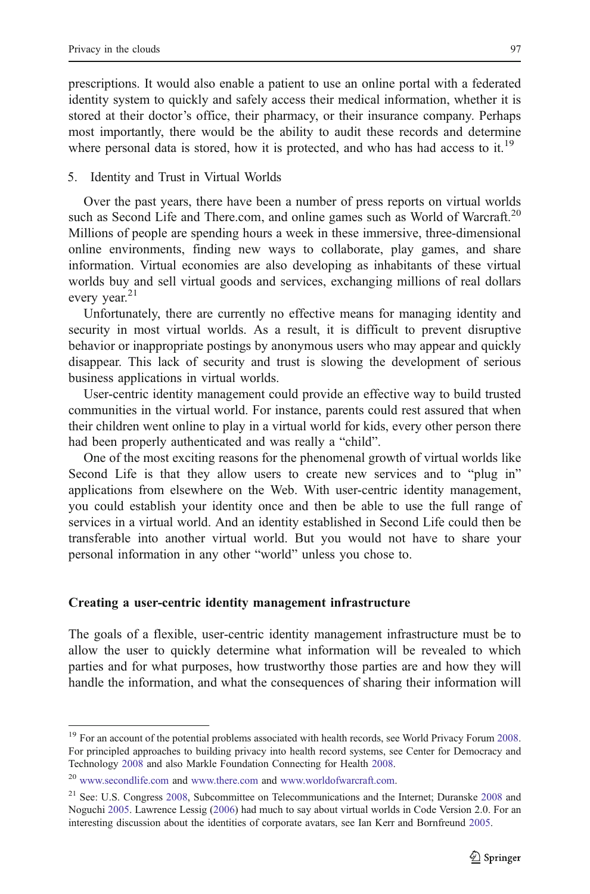prescriptions. It would also enable a patient to use an online portal with a federated identity system to quickly and safely access their medical information, whether it is stored at their doctor's office, their pharmacy, or their insurance company. Perhaps most importantly, there would be the ability to audit these records and determine where personal data is stored, how it is protected, and who has had access to it.<sup>19</sup>

### 5. Identity and Trust in Virtual Worlds

Over the past years, there have been a number of press reports on virtual worlds such as Second Life and There.com, and online games such as World of Warcraft.<sup>20</sup> Millions of people are spending hours a week in these immersive, three-dimensional online environments, finding new ways to collaborate, play games, and share information. Virtual economies are also developing as inhabitants of these virtual worlds buy and sell virtual goods and services, exchanging millions of real dollars every year.<sup>21</sup>

Unfortunately, there are currently no effective means for managing identity and security in most virtual worlds. As a result, it is difficult to prevent disruptive behavior or inappropriate postings by anonymous users who may appear and quickly disappear. This lack of security and trust is slowing the development of serious business applications in virtual worlds.

User-centric identity management could provide an effective way to build trusted communities in the virtual world. For instance, parents could rest assured that when their children went online to play in a virtual world for kids, every other person there had been properly authenticated and was really a "child".

One of the most exciting reasons for the phenomenal growth of virtual worlds like Second Life is that they allow users to create new services and to "plug in" applications from elsewhere on the Web. With user-centric identity management, you could establish your identity once and then be able to use the full range of services in a virtual world. And an identity established in Second Life could then be transferable into another virtual world. But you would not have to share your personal information in any other "world" unless you chose to.

### Creating a user-centric identity management infrastructure

The goals of a flexible, user-centric identity management infrastructure must be to allow the user to quickly determine what information will be revealed to which parties and for what purposes, how trustworthy those parties are and how they will handle the information, and what the consequences of sharing their information will

<sup>&</sup>lt;sup>19</sup> For an account of the potential problems associated with health records, see World Privacy Forum [2008](#page-16-0). For principled approaches to building privacy into health record systems, see Center for Democracy and Technology [2008](#page-15-0) and also Markle Foundation Connecting for Health [2008.](#page-16-0)

<sup>20</sup> <www.secondlife.com> and <www.there.com> and [www.worldofwarcraft.com](http://www.worldofwarcraft.com).

<sup>&</sup>lt;sup>21</sup> See: U.S. Congress [2008,](#page-16-0) Subcommittee on Telecommunications and the Internet; Duranske [2008](#page-15-0) and Noguchi [2005](#page-16-0). Lawrence Lessig ([2006\)](#page-16-0) had much to say about virtual worlds in Code Version 2.0. For an interesting discussion about the identities of corporate avatars, see Ian Kerr and Bornfreund [2005](#page-16-0).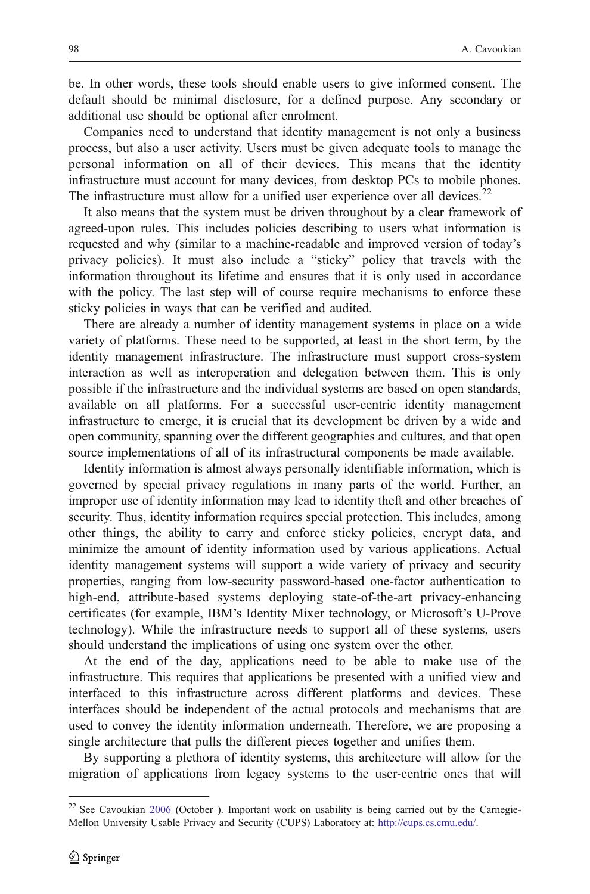be. In other words, these tools should enable users to give informed consent. The default should be minimal disclosure, for a defined purpose. Any secondary or additional use should be optional after enrolment.

Companies need to understand that identity management is not only a business process, but also a user activity. Users must be given adequate tools to manage the personal information on all of their devices. This means that the identity infrastructure must account for many devices, from desktop PCs to mobile phones. The infrastructure must allow for a unified user experience over all devices.<sup>22</sup>

It also means that the system must be driven throughout by a clear framework of agreed-upon rules. This includes policies describing to users what information is requested and why (similar to a machine-readable and improved version of today's privacy policies). It must also include a "sticky" policy that travels with the information throughout its lifetime and ensures that it is only used in accordance with the policy. The last step will of course require mechanisms to enforce these sticky policies in ways that can be verified and audited.

There are already a number of identity management systems in place on a wide variety of platforms. These need to be supported, at least in the short term, by the identity management infrastructure. The infrastructure must support cross-system interaction as well as interoperation and delegation between them. This is only possible if the infrastructure and the individual systems are based on open standards, available on all platforms. For a successful user-centric identity management infrastructure to emerge, it is crucial that its development be driven by a wide and open community, spanning over the different geographies and cultures, and that open source implementations of all of its infrastructural components be made available.

Identity information is almost always personally identifiable information, which is governed by special privacy regulations in many parts of the world. Further, an improper use of identity information may lead to identity theft and other breaches of security. Thus, identity information requires special protection. This includes, among other things, the ability to carry and enforce sticky policies, encrypt data, and minimize the amount of identity information used by various applications. Actual identity management systems will support a wide variety of privacy and security properties, ranging from low-security password-based one-factor authentication to high-end, attribute-based systems deploying state-of-the-art privacy-enhancing certificates (for example, IBM's Identity Mixer technology, or Microsoft's U-Prove technology). While the infrastructure needs to support all of these systems, users should understand the implications of using one system over the other.

At the end of the day, applications need to be able to make use of the infrastructure. This requires that applications be presented with a unified view and interfaced to this infrastructure across different platforms and devices. These interfaces should be independent of the actual protocols and mechanisms that are used to convey the identity information underneath. Therefore, we are proposing a single architecture that pulls the different pieces together and unifies them.

By supporting a plethora of identity systems, this architecture will allow for the migration of applications from legacy systems to the user-centric ones that will

 $22$  See Cavoukian [2006](#page-15-0) (October ). Important work on usability is being carried out by the Carnegie-Mellon University Usable Privacy and Security (CUPS) Laboratory at: [http://cups.cs.cmu.edu/.](http://cups.cs.cmu.edu/)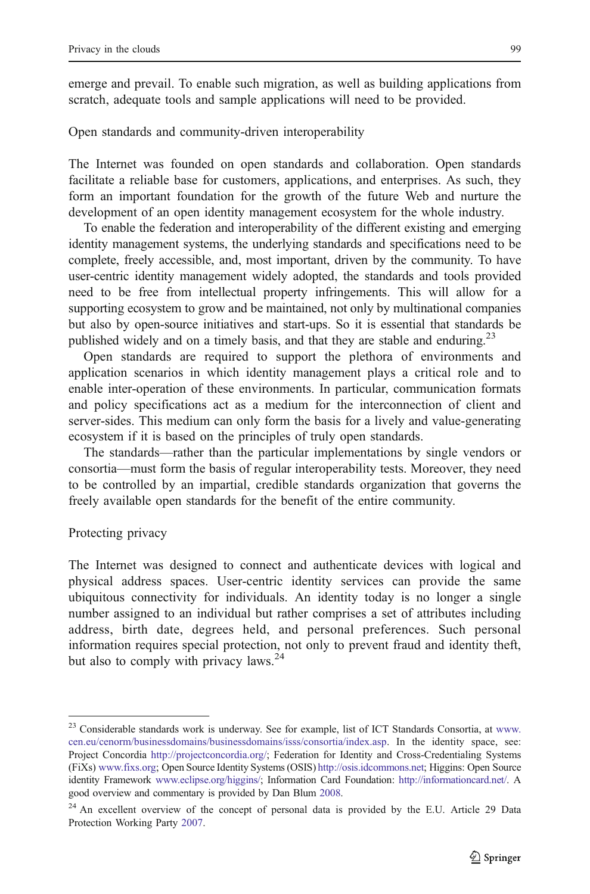emerge and prevail. To enable such migration, as well as building applications from scratch, adequate tools and sample applications will need to be provided.

Open standards and community-driven interoperability

The Internet was founded on open standards and collaboration. Open standards facilitate a reliable base for customers, applications, and enterprises. As such, they form an important foundation for the growth of the future Web and nurture the development of an open identity management ecosystem for the whole industry.

To enable the federation and interoperability of the different existing and emerging identity management systems, the underlying standards and specifications need to be complete, freely accessible, and, most important, driven by the community. To have user-centric identity management widely adopted, the standards and tools provided need to be free from intellectual property infringements. This will allow for a supporting ecosystem to grow and be maintained, not only by multinational companies but also by open-source initiatives and start-ups. So it is essential that standards be published widely and on a timely basis, and that they are stable and enduring.<sup>23</sup>

Open standards are required to support the plethora of environments and application scenarios in which identity management plays a critical role and to enable inter-operation of these environments. In particular, communication formats and policy specifications act as a medium for the interconnection of client and server-sides. This medium can only form the basis for a lively and value-generating ecosystem if it is based on the principles of truly open standards.

The standards—rather than the particular implementations by single vendors or consortia—must form the basis of regular interoperability tests. Moreover, they need to be controlled by an impartial, credible standards organization that governs the freely available open standards for the benefit of the entire community.

Protecting privacy

The Internet was designed to connect and authenticate devices with logical and physical address spaces. User-centric identity services can provide the same ubiquitous connectivity for individuals. An identity today is no longer a single number assigned to an individual but rather comprises a set of attributes including address, birth date, degrees held, and personal preferences. Such personal information requires special protection, not only to prevent fraud and identity theft, but also to comply with privacy laws.<sup>24</sup>

<sup>&</sup>lt;sup>23</sup> Considerable standards work is underway. See for example, list of ICT Standards Consortia, at [www.](www.cen.eu/cenorm/businessdomains/businessdomains/isss/consortia/index.asp) [cen.eu/cenorm/businessdomains/businessdomains/isss/consortia/index.asp](www.cen.eu/cenorm/businessdomains/businessdomains/isss/consortia/index.asp). In the identity space, see: Project Concordia [http://projectconcordia.org/;](http://projectconcordia.org/) Federation for Identity and Cross-Credentialing Systems (FiXs) <www.fixs.org>; Open Source Identity Systems (OSIS) [http://osis.idcommons.net;](http://osis.idcommons.net) Higgins: Open Source identity Framework <www.eclipse.org/higgins/>; Information Card Foundation: [http://informationcard.net/.](http://informationcard.net/) A good overview and commentary is provided by Dan Blum [2008.](#page-15-0)

<sup>&</sup>lt;sup>24</sup> An excellent overview of the concept of personal data is provided by the E.U. Article 29 Data Protection Working Party [2007](#page-15-0).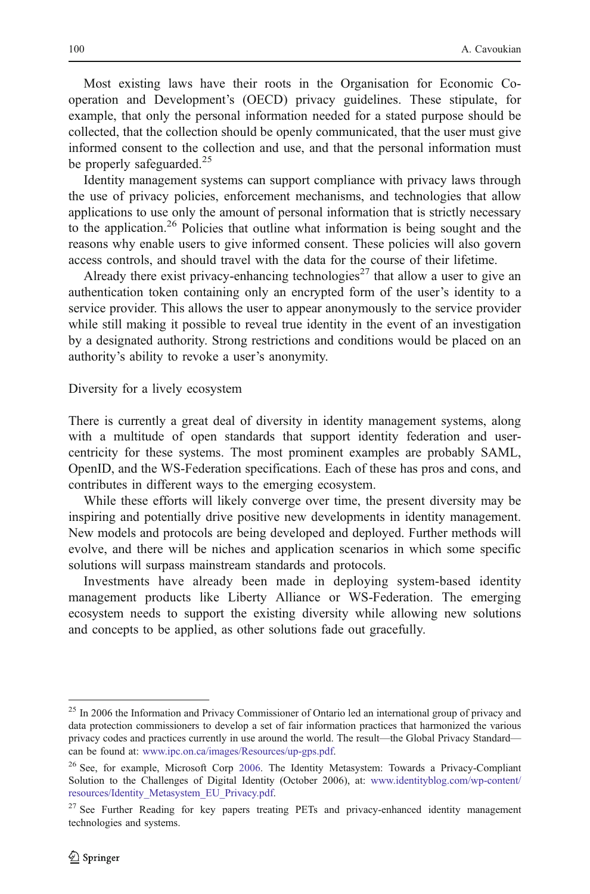Most existing laws have their roots in the Organisation for Economic Cooperation and Development's (OECD) privacy guidelines. These stipulate, for example, that only the personal information needed for a stated purpose should be collected, that the collection should be openly communicated, that the user must give informed consent to the collection and use, and that the personal information must be properly safeguarded.<sup>25</sup>

Identity management systems can support compliance with privacy laws through the use of privacy policies, enforcement mechanisms, and technologies that allow applications to use only the amount of personal information that is strictly necessary to the application.<sup>26</sup> Policies that outline what information is being sought and the reasons why enable users to give informed consent. These policies will also govern access controls, and should travel with the data for the course of their lifetime.

Already there exist privacy-enhancing technologies<sup>27</sup> that allow a user to give an authentication token containing only an encrypted form of the user's identity to a service provider. This allows the user to appear anonymously to the service provider while still making it possible to reveal true identity in the event of an investigation by a designated authority. Strong restrictions and conditions would be placed on an authority's ability to revoke a user's anonymity.

#### Diversity for a lively ecosystem

There is currently a great deal of diversity in identity management systems, along with a multitude of open standards that support identity federation and usercentricity for these systems. The most prominent examples are probably SAML, OpenID, and the WS-Federation specifications. Each of these has pros and cons, and contributes in different ways to the emerging ecosystem.

While these efforts will likely converge over time, the present diversity may be inspiring and potentially drive positive new developments in identity management. New models and protocols are being developed and deployed. Further methods will evolve, and there will be niches and application scenarios in which some specific solutions will surpass mainstream standards and protocols.

Investments have already been made in deploying system-based identity management products like Liberty Alliance or WS-Federation. The emerging ecosystem needs to support the existing diversity while allowing new solutions and concepts to be applied, as other solutions fade out gracefully.

<sup>&</sup>lt;sup>25</sup> In 2006 the Information and Privacy Commissioner of Ontario led an international group of privacy and data protection commissioners to develop a set of fair information practices that harmonized the various privacy codes and practices currently in use around the world. The result—the Global Privacy Standard can be found at: <www.ipc.on.ca/images/Resources/up-gps.pdf>.

 $26$  See, for example, Microsoft Corp [2006](#page-16-0). The Identity Metasystem: Towards a Privacy-Compliant Solution to the Challenges of Digital Identity (October 2006), at: [www.identityblog.com/wp-content/](www.identityblog.com/wp-content/resources/Identity_Metasystem_EU_Privacy.pdf) [resources/Identity\\_Metasystem\\_EU\\_Privacy.pdf.](www.identityblog.com/wp-content/resources/Identity_Metasystem_EU_Privacy.pdf)

<sup>&</sup>lt;sup>27</sup> See Further Reading for key papers treating PETs and privacy-enhanced identity management technologies and systems.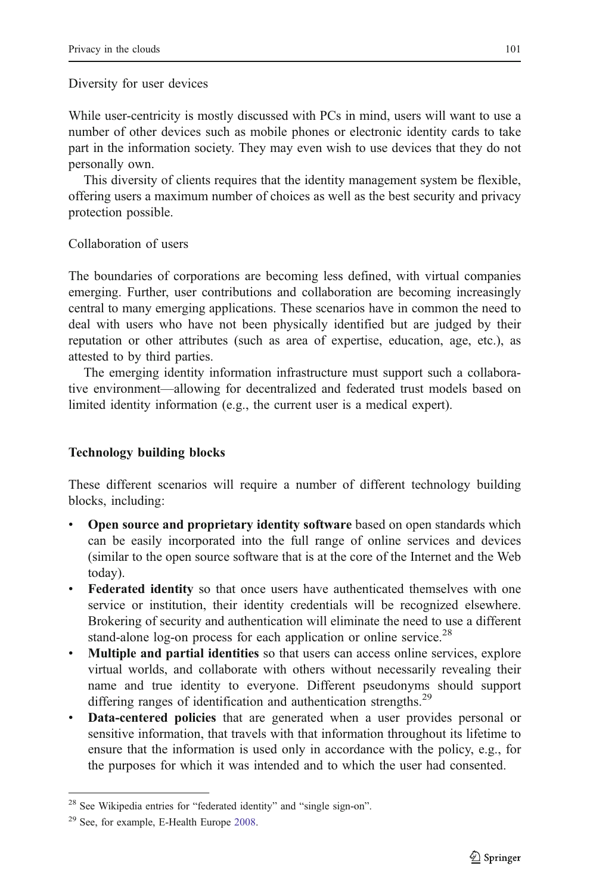Diversity for user devices

While user-centricity is mostly discussed with PCs in mind, users will want to use a number of other devices such as mobile phones or electronic identity cards to take part in the information society. They may even wish to use devices that they do not personally own.

This diversity of clients requires that the identity management system be flexible, offering users a maximum number of choices as well as the best security and privacy protection possible.

Collaboration of users

The boundaries of corporations are becoming less defined, with virtual companies emerging. Further, user contributions and collaboration are becoming increasingly central to many emerging applications. These scenarios have in common the need to deal with users who have not been physically identified but are judged by their reputation or other attributes (such as area of expertise, education, age, etc.), as attested to by third parties.

The emerging identity information infrastructure must support such a collaborative environment—allowing for decentralized and federated trust models based on limited identity information (e.g., the current user is a medical expert).

# Technology building blocks

These different scenarios will require a number of different technology building blocks, including:

- Open source and proprietary identity software based on open standards which can be easily incorporated into the full range of online services and devices (similar to the open source software that is at the core of the Internet and the Web today).
- Federated identity so that once users have authenticated themselves with one service or institution, their identity credentials will be recognized elsewhere. Brokering of security and authentication will eliminate the need to use a different stand-alone log-on process for each application or online service.<sup>28</sup>
- & Multiple and partial identities so that users can access online services, explore virtual worlds, and collaborate with others without necessarily revealing their name and true identity to everyone. Different pseudonyms should support differing ranges of identification and authentication strengths.<sup>29</sup>
- Data-centered policies that are generated when a user provides personal or sensitive information, that travels with that information throughout its lifetime to ensure that the information is used only in accordance with the policy, e.g., for the purposes for which it was intended and to which the user had consented.

<sup>&</sup>lt;sup>28</sup> See Wikipedia entries for "federated identity" and "single sign-on".

<sup>29</sup> See, for example, E-Health Europe [2008.](#page-15-0)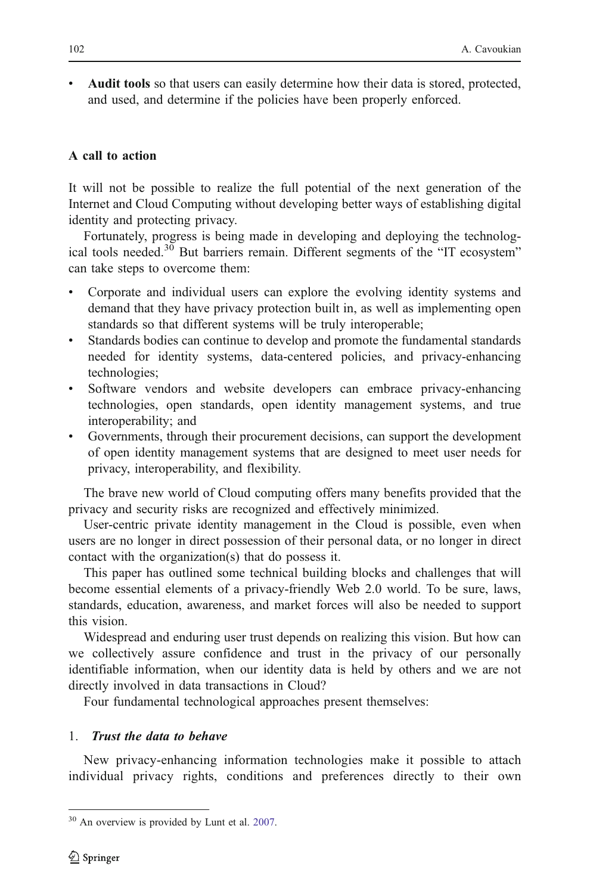Audit tools so that users can easily determine how their data is stored, protected, and used, and determine if the policies have been properly enforced.

### A call to action

It will not be possible to realize the full potential of the next generation of the Internet and Cloud Computing without developing better ways of establishing digital identity and protecting privacy.

Fortunately, progress is being made in developing and deploying the technological tools needed.<sup>30</sup> But barriers remain. Different segments of the "IT ecosystem" can take steps to overcome them:

- Corporate and individual users can explore the evolving identity systems and demand that they have privacy protection built in, as well as implementing open standards so that different systems will be truly interoperable;
- & Standards bodies can continue to develop and promote the fundamental standards needed for identity systems, data-centered policies, and privacy-enhancing technologies;
- & Software vendors and website developers can embrace privacy-enhancing technologies, open standards, open identity management systems, and true interoperability; and
- & Governments, through their procurement decisions, can support the development of open identity management systems that are designed to meet user needs for privacy, interoperability, and flexibility.

The brave new world of Cloud computing offers many benefits provided that the privacy and security risks are recognized and effectively minimized.

User-centric private identity management in the Cloud is possible, even when users are no longer in direct possession of their personal data, or no longer in direct contact with the organization(s) that do possess it.

This paper has outlined some technical building blocks and challenges that will become essential elements of a privacy-friendly Web 2.0 world. To be sure, laws, standards, education, awareness, and market forces will also be needed to support this vision.

Widespread and enduring user trust depends on realizing this vision. But how can we collectively assure confidence and trust in the privacy of our personally identifiable information, when our identity data is held by others and we are not directly involved in data transactions in Cloud?

Four fundamental technological approaches present themselves:

#### 1. Trust the data to behave

New privacy-enhancing information technologies make it possible to attach individual privacy rights, conditions and preferences directly to their own

<sup>30</sup> An overview is provided by Lunt et al. [2007.](#page-16-0)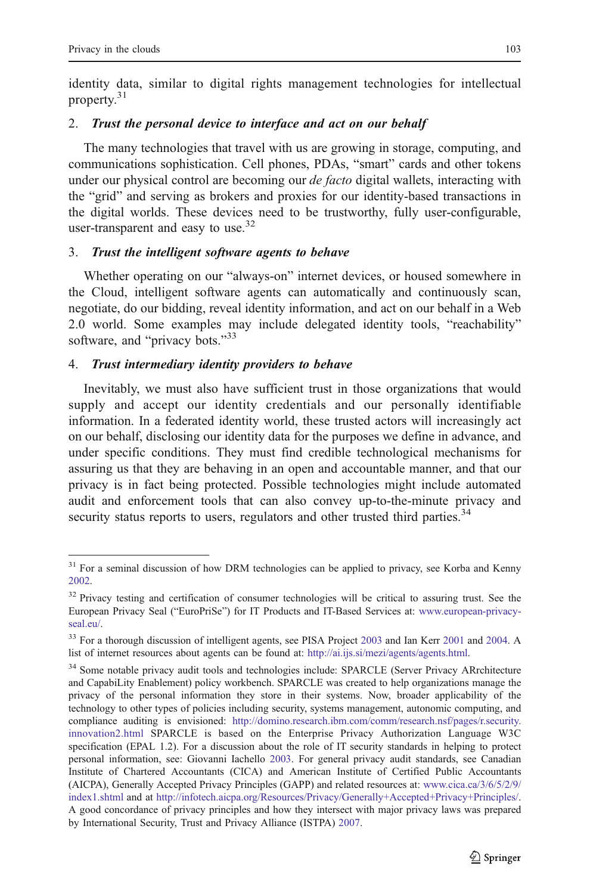identity data, similar to digital rights management technologies for intellectual property.<sup>31</sup>

# 2. Trust the personal device to interface and act on our behalf

The many technologies that travel with us are growing in storage, computing, and communications sophistication. Cell phones, PDAs, "smart" cards and other tokens under our physical control are becoming our *de facto* digital wallets, interacting with the "grid" and serving as brokers and proxies for our identity-based transactions in the digital worlds. These devices need to be trustworthy, fully user-configurable, user-transparent and easy to use. $32$ 

# 3. Trust the intelligent software agents to behave

Whether operating on our "always-on" internet devices, or housed somewhere in the Cloud, intelligent software agents can automatically and continuously scan, negotiate, do our bidding, reveal identity information, and act on our behalf in a Web 2.0 world. Some examples may include delegated identity tools, "reachability" software, and "privacy bots."<sup>33</sup>

# 4. Trust intermediary identity providers to behave

Inevitably, we must also have sufficient trust in those organizations that would supply and accept our identity credentials and our personally identifiable information. In a federated identity world, these trusted actors will increasingly act on our behalf, disclosing our identity data for the purposes we define in advance, and under specific conditions. They must find credible technological mechanisms for assuring us that they are behaving in an open and accountable manner, and that our privacy is in fact being protected. Possible technologies might include automated audit and enforcement tools that can also convey up-to-the-minute privacy and security status reports to users, regulators and other trusted third parties.<sup>34</sup>

<sup>&</sup>lt;sup>31</sup> For a seminal discussion of how DRM technologies can be applied to privacy, see Korba and Kenny [2002.](#page-16-0)

<sup>&</sup>lt;sup>32</sup> Privacy testing and certification of consumer technologies will be critical to assuring trust. See the European Privacy Seal ("EuroPriSe") for IT Products and IT-Based Services at: [www.european-privacy](http://www.european-privacy-seal.eu/)[seal.eu/.](http://www.european-privacy-seal.eu/)

<sup>&</sup>lt;sup>33</sup> For a thorough discussion of intelligent agents, see PISA Project [2003](#page-16-0) and Ian Kerr [2001](#page-16-0) and [2004](#page-16-0). A list of internet resources about agents can be found at: <http://ai.ijs.si/mezi/agents/agents.html>.

<sup>&</sup>lt;sup>34</sup> Some notable privacy audit tools and technologies include: SPARCLE (Server Privacy ARrchitecture and CapabiLity Enablement) policy workbench. SPARCLE was created to help organizations manage the privacy of the personal information they store in their systems. Now, broader applicability of the technology to other types of policies including security, systems management, autonomic computing, and compliance auditing is envisioned: [http://domino.research.ibm.com/comm/research.nsf/pages/r.security.](http://domino.research.ibm.com/comm/research.nsf/pages/r.security.innovation2.html) [innovation2.html](http://domino.research.ibm.com/comm/research.nsf/pages/r.security.innovation2.html) SPARCLE is based on the Enterprise Privacy Authorization Language W3C specification (EPAL 1.2). For a discussion about the role of IT security standards in helping to protect personal information, see: Giovanni Iachello [2003](#page-15-0). For general privacy audit standards, see Canadian Institute of Chartered Accountants (CICA) and American Institute of Certified Public Accountants (AICPA), Generally Accepted Privacy Principles (GAPP) and related resources at: [www.cica.ca/3/6/5/2/9/](http://www.cica.ca/3/6/5/2/9/index1.shtml) [index1.shtml](http://www.cica.ca/3/6/5/2/9/index1.shtml) and at <http://infotech.aicpa.org/Resources/Privacy/Generally+Accepted+Privacy+Principles/>. A good concordance of privacy principles and how they intersect with major privacy laws was prepared by International Security, Trust and Privacy Alliance (ISTPA) [2007](#page-15-0).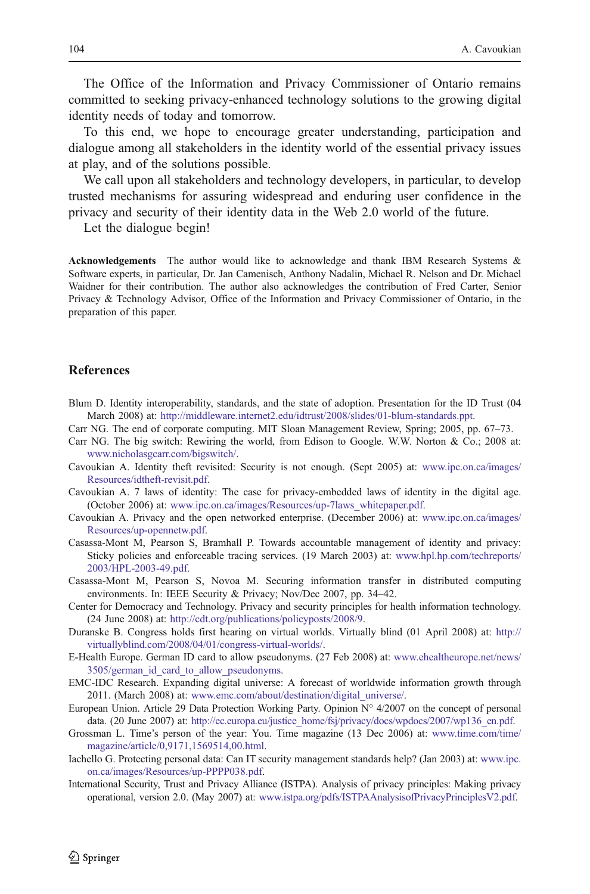<span id="page-15-0"></span>The Office of the Information and Privacy Commissioner of Ontario remains committed to seeking privacy-enhanced technology solutions to the growing digital identity needs of today and tomorrow.

To this end, we hope to encourage greater understanding, participation and dialogue among all stakeholders in the identity world of the essential privacy issues at play, and of the solutions possible.

We call upon all stakeholders and technology developers, in particular, to develop trusted mechanisms for assuring widespread and enduring user confidence in the privacy and security of their identity data in the Web 2.0 world of the future.

Let the dialogue begin!

Acknowledgements The author would like to acknowledge and thank IBM Research Systems & Software experts, in particular, Dr. Jan Camenisch, Anthony Nadalin, Michael R. Nelson and Dr. Michael Waidner for their contribution. The author also acknowledges the contribution of Fred Carter, Senior Privacy & Technology Advisor, Office of the Information and Privacy Commissioner of Ontario, in the preparation of this paper.

#### References

- Blum D. Identity interoperability, standards, and the state of adoption. Presentation for the ID Trust (04 March 2008) at: <http://middleware.internet2.edu/idtrust/2008/slides/01-blum-standards.ppt>.
- Carr NG. The end of corporate computing. MIT Sloan Management Review, Spring; 2005, pp. 67–73.
- Carr NG. The big switch: Rewiring the world, from Edison to Google. W.W. Norton & Co.; 2008 at: [www.nicholasgcarr.com/bigswitch/.](http://www.nicholasgcarr.com/bigswitch/)
- Cavoukian A. Identity theft revisited: Security is not enough. (Sept 2005) at: [www.ipc.on.ca/images/](http://www.ipc.on.ca/images/Resources/idtheft-revisit.pdf) [Resources/idtheft-revisit.pdf.](http://www.ipc.on.ca/images/Resources/idtheft-revisit.pdf)
- Cavoukian A. 7 laws of identity: The case for privacy-embedded laws of identity in the digital age. (October 2006) at: [www.ipc.on.ca/images/Resources/up-7laws\\_whitepaper.pdf](http://www.ipc.on.ca/images/Resources/up-7laws_whitepaper.pdf).
- Cavoukian A. Privacy and the open networked enterprise. (December 2006) at: [www.ipc.on.ca/images/](http://www.ipc.on.ca/images/Resources/up-opennetw.pdf) [Resources/up-opennetw.pdf.](http://www.ipc.on.ca/images/Resources/up-opennetw.pdf)
- Casassa-Mont M, Pearson S, Bramhall P. Towards accountable management of identity and privacy: Sticky policies and enforceable tracing services. (19 March 2003) at: [www.hpl.hp.com/techreports/](http://www.hpl.hp.com/techreports/2003/HPL-2003-49.pdf) [2003/HPL-2003-49.pdf](http://www.hpl.hp.com/techreports/2003/HPL-2003-49.pdf).
- Casassa-Mont M, Pearson S, Novoa M. Securing information transfer in distributed computing environments. In: IEEE Security & Privacy; Nov/Dec 2007, pp. 34–42.
- Center for Democracy and Technology. Privacy and security principles for health information technology. (24 June 2008) at: <http://cdt.org/publications/policyposts/2008/9>.
- Duranske B. Congress holds first hearing on virtual worlds. Virtually blind (01 April 2008) at: [http://](http://virtuallyblind.com/2008/04/01/congress-virtual-worlds/) [virtuallyblind.com/2008/04/01/congress-virtual-worlds/](http://virtuallyblind.com/2008/04/01/congress-virtual-worlds/).
- E-Health Europe. German ID card to allow pseudonyms. (27 Feb 2008) at: [www.ehealtheurope.net/news/](http://www.ehealtheurope.net/news/3505/german_id_card_to_allow_pseudonyms) [3505/german\\_id\\_card\\_to\\_allow\\_pseudonyms](http://www.ehealtheurope.net/news/3505/german_id_card_to_allow_pseudonyms).
- EMC-IDC Research. Expanding digital universe: A forecast of worldwide information growth through 2011. (March 2008) at: [www.emc.com/about/destination/digital\\_universe/](http://www.emc.com/about/destination/digital_universe/).
- European Union. Article 29 Data Protection Working Party. Opinion N° 4/2007 on the concept of personal data. (20 June 2007) at: [http://ec.europa.eu/justice\\_home/fsj/privacy/docs/wpdocs/2007/wp136\\_en.pdf](http://ec.europa.eu/justice_home/fsj/privacy/docs/wpdocs/2007/wp136_en.pdf).
- Grossman L. Time's person of the year: You. Time magazine (13 Dec 2006) at: [www.time.com/time/](http://www.time.com/time/magazine/article/0,9171,1569514,00.html) [magazine/article/0,9171,1569514,00.html.](http://www.time.com/time/magazine/article/0,9171,1569514,00.html)
- Iachello G. Protecting personal data: Can IT security management standards help? (Jan 2003) at: [www.ipc.](http://www.ipc.on.ca/images/Resources/up-PPPP038.pdf) [on.ca/images/Resources/up-PPPP038.pdf](http://www.ipc.on.ca/images/Resources/up-PPPP038.pdf).
- International Security, Trust and Privacy Alliance (ISTPA). Analysis of privacy principles: Making privacy operational, version 2.0. (May 2007) at: [www.istpa.org/pdfs/ISTPAAnalysisofPrivacyPrinciplesV2.pdf.](http://www.istpa.org/pdfs/ISTPAAnalysisofPrivacyPrinciplesV2.pdf)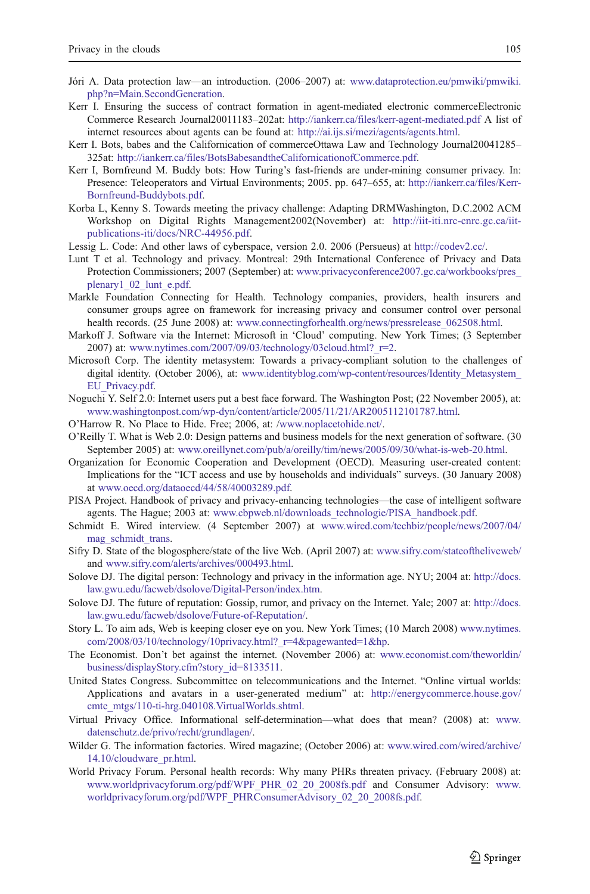- <span id="page-16-0"></span>Jóri A. Data protection law—an introduction. (2006–2007) at: [www.dataprotection.eu/pmwiki/pmwiki.](http://www.dataprotection.eu/pmwiki/pmwiki.php?n=Main.SecondGeneration) [php?n=Main.SecondGeneration.](http://www.dataprotection.eu/pmwiki/pmwiki.php?n=Main.SecondGeneration)
- Kerr I. Ensuring the success of contract formation in agent-mediated electronic commerceElectronic Commerce Research Journal20011183–202at: <http://iankerr.ca/files/kerr-agent-mediated.pdf> A list of internet resources about agents can be found at: <http://ai.ijs.si/mezi/agents/agents.html>.
- Kerr I. Bots, babes and the Californication of commerceOttawa Law and Technology Journal20041285– 325at: <http://iankerr.ca/files/BotsBabesandtheCalifornicationofCommerce.pdf>.
- Kerr I, Bornfreund M. Buddy bots: How Turing's fast-friends are under-mining consumer privacy. In: Presence: Teleoperators and Virtual Environments; 2005. pp. 647–655, at: [http://iankerr.ca/files/Kerr-](http://iankerr.ca/files/Kerr-Bornfreund-Buddybots.pdf)[Bornfreund-Buddybots.pdf.](http://iankerr.ca/files/Kerr-Bornfreund-Buddybots.pdf)
- Korba L, Kenny S. Towards meeting the privacy challenge: Adapting DRMWashington, D.C.2002 ACM Workshop on Digital Rights Management2002(November) at: [http://iit-iti.nrc-cnrc.gc.ca/iit](http://iit-iti.nrc-cnrc.gc.ca/iit-publications-iti/docs/NRC-44956.pdf)[publications-iti/docs/NRC-44956.pdf](http://iit-iti.nrc-cnrc.gc.ca/iit-publications-iti/docs/NRC-44956.pdf).
- Lessig L. Code: And other laws of cyberspace, version 2.0. 2006 (Persueus) at <http://codev2.cc/>.
- Lunt T et al. Technology and privacy. Montreal: 29th International Conference of Privacy and Data Protection Commissioners; 2007 (September) at: [www.privacyconference2007.gc.ca/workbooks/pres\\_](http://www.privacyconference2007.gc.ca/workbooks/pres_plenary1_02_lunt_e.pdf) [plenary1\\_02\\_lunt\\_e.pdf.](http://www.privacyconference2007.gc.ca/workbooks/pres_plenary1_02_lunt_e.pdf)
- Markle Foundation Connecting for Health. Technology companies, providers, health insurers and consumer groups agree on framework for increasing privacy and consumer control over personal health records. (25 June 2008) at: [www.connectingforhealth.org/news/pressrelease\\_062508.html.](http://www.connectingforhealth.org/news/pressrelease_062508.html)
- Markoff J. Software via the Internet: Microsoft in 'Cloud' computing. New York Times; (3 September 2007) at: www.nytimes.com/2007/09/03/technology/03cloud.html?  $r=2$ .
- Microsoft Corp. The identity metasystem: Towards a privacy-compliant solution to the challenges of digital identity. (October 2006), at: www.identityblog.com/wp-content/resources/Identity\_Metasystem [EU\\_Privacy.pdf](http://www.identityblog.com/wp-content/resources/Identity_Metasystem_EU_Privacy.pdf).
- Noguchi Y. Self 2.0: Internet users put a best face forward. The Washington Post; (22 November 2005), at: [www.washingtonpost.com/wp-dyn/content/article/2005/11/21/AR2005112101787.html.](http://www.washingtonpost.com/wp-dyn/content/article/2005/11/21/AR2005112101787.html)
- O'Harrow R. No Place to Hide. Free; 2006, at: [/www.noplacetohide.net/.](http://www.noplacetohide.net/)
- O'Reilly T. What is Web 2.0: Design patterns and business models for the next generation of software. (30 September 2005) at: [www.oreillynet.com/pub/a/oreilly/tim/news/2005/09/30/what-is-web-20.html](http://www.oreillynet.com/pub/a/oreilly/tim/news/2005/09/30/what-is-web-20.html).
- Organization for Economic Cooperation and Development (OECD). Measuring user-created content: Implications for the "ICT access and use by households and individuals" surveys. (30 January 2008) at [www.oecd.org/dataoecd/44/58/40003289.pdf.](http://www.oecd.org/dataoecd/44/58/40003289.pdf)
- PISA Project. Handbook of privacy and privacy-enhancing technologies—the case of intelligent software agents. The Hague; 2003 at: [www.cbpweb.nl/downloads\\_technologie/PISA\\_handboek.pdf.](http://www.cbpweb.nl/downloads_technologie/PISA_handboek.pdf)
- Schmidt E. Wired interview. (4 September 2007) at [www.wired.com/techbiz/people/news/2007/04/](http://www.wired.com/techbiz/people/news/2007/04/mag_schmidt_trans) [mag\\_schmidt\\_trans.](http://www.wired.com/techbiz/people/news/2007/04/mag_schmidt_trans)
- Sifry D. State of the blogosphere/state of the live Web. (April 2007) at: [www.sifry.com/stateoftheliveweb/](http://www.sifry.com/stateoftheliveweb/) and [www.sifry.com/alerts/archives/000493.html.](http://www.sifry.com/alerts/archives/000493.html)
- Solove DJ. The digital person: Technology and privacy in the information age. NYU; 2004 at: [http://docs.](http://docs.law.gwu.edu/facweb/dsolove/Digital-Person/index.htm) [law.gwu.edu/facweb/dsolove/Digital-Person/index.htm](http://docs.law.gwu.edu/facweb/dsolove/Digital-Person/index.htm).
- Solove DJ. The future of reputation: Gossip, rumor, and privacy on the Internet. Yale; 2007 at: [http://docs.](http://docs.law.gwu.edu/facweb/dsolove/Future-of-Reputation/) [law.gwu.edu/facweb/dsolove/Future-of-Reputation/.](http://docs.law.gwu.edu/facweb/dsolove/Future-of-Reputation/)
- Story L. To aim ads, Web is keeping closer eye on you. New York Times; (10 March 2008) [www.nytimes.](http://www.nytimes.com/2008/03/10/technology/10privacy.html?_r=4&pagewanted=1&hp) [com/2008/03/10/technology/10privacy.html?\\_r=4&pagewanted=1&hp](http://www.nytimes.com/2008/03/10/technology/10privacy.html?_r=4&pagewanted=1&hp).
- The Economist. Don't bet against the internet. (November 2006) at: [www.economist.com/theworldin/](http://www.economist.com/theworldin/business/displayStory.cfm?story_id=8133511) [business/displayStory.cfm?story\\_id=8133511.](http://www.economist.com/theworldin/business/displayStory.cfm?story_id=8133511)
- United States Congress. Subcommittee on telecommunications and the Internet. "Online virtual worlds: Applications and avatars in a user-generated medium" at: [http://energycommerce.house.gov/](http://energycommerce.house.gov/cmte_mtgs/110-ti-hrg.040108.VirtualWorlds.shtml) [cmte\\_mtgs/110-ti-hrg.040108.VirtualWorlds.shtml.](http://energycommerce.house.gov/cmte_mtgs/110-ti-hrg.040108.VirtualWorlds.shtml)
- Virtual Privacy Office. Informational self-determination—what does that mean? (2008) at: [www.](http://www.datenschutz.de/privo/recht/grundlagen/) [datenschutz.de/privo/recht/grundlagen/.](http://www.datenschutz.de/privo/recht/grundlagen/)
- Wilder G. The information factories. Wired magazine; (October 2006) at: [www.wired.com/wired/archive/](http://www.wired.com/wired/archive/14.10/cloudware_pr.html) [14.10/cloudware\\_pr.html](http://www.wired.com/wired/archive/14.10/cloudware_pr.html).
- World Privacy Forum. Personal health records: Why many PHRs threaten privacy. (February 2008) at: [www.worldprivacyforum.org/pdf/WPF\\_PHR\\_02\\_20\\_2008fs.pdf](http://www.worldprivacyforum.org/pdf/WPF_PHR_02_20_2008fs.pdf) and Consumer Advisory: [www.](http://www.worldprivacyforum.org/pdf/WPF_PHRConsumerAdvisory_02_20_2008fs.pdf) [worldprivacyforum.org/pdf/WPF\\_PHRConsumerAdvisory\\_02\\_20\\_2008fs.pdf.](http://www.worldprivacyforum.org/pdf/WPF_PHRConsumerAdvisory_02_20_2008fs.pdf)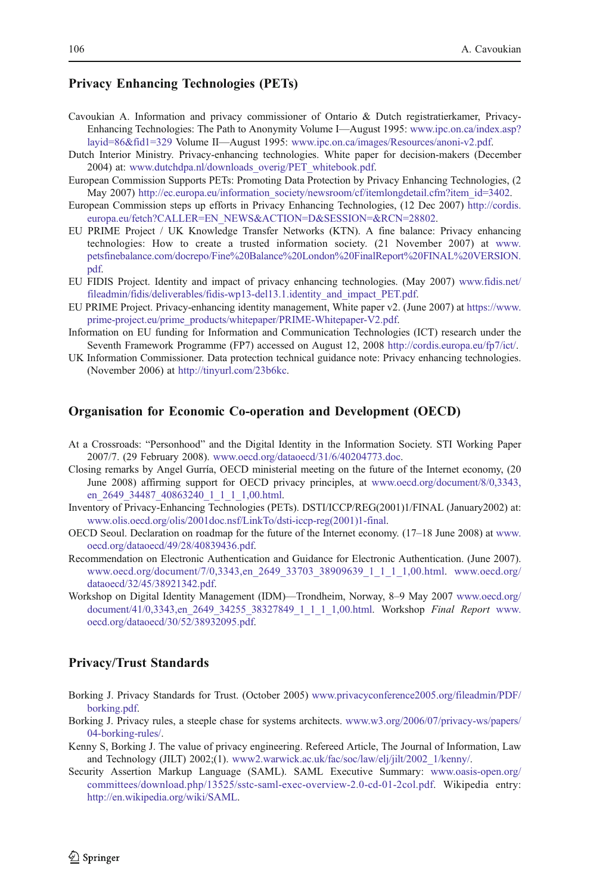#### <span id="page-17-0"></span>Privacy Enhancing Technologies (PETs)

- Cavoukian A. Information and privacy commissioner of Ontario & Dutch registratierkamer, Privacy-Enhancing Technologies: The Path to Anonymity Volume I—August 1995: [www.ipc.on.ca/index.asp?](http://www.ipc.on.ca/index.asp?layid=86&fid1=329) [layid=86&fid1=329](http://www.ipc.on.ca/index.asp?layid=86&fid1=329) Volume II—August 1995: [www.ipc.on.ca/images/Resources/anoni-v2.pdf.](http://www.ipc.on.ca/images/Resources/anoni-v2.pdf)
- Dutch Interior Ministry. Privacy-enhancing technologies. White paper for decision-makers (December 2004) at: [www.dutchdpa.nl/downloads\\_overig/PET\\_whitebook.pdf.](http://www.dutchdpa.nl/downloads_overig/PET_whitebook.pdf)
- European Commission Supports PETs: Promoting Data Protection by Privacy Enhancing Technologies, (2 May 2007) [http://ec.europa.eu/information\\_society/newsroom/cf/itemlongdetail.cfm?item\\_id=3402.](http://ec.europa.eu/information_society/newsroom/cf/itemlongdetail.cfm?item_id=3402)
- European Commission steps up efforts in Privacy Enhancing Technologies, (12 Dec 2007) [http://cordis.](http://cordis.europa.eu/fetch?CALLER=EN_NEWS&ACTION=D&SESSION=&RCN=28802) [europa.eu/fetch?CALLER=EN\\_NEWS&ACTION=D&SESSION=&RCN=28802.](http://cordis.europa.eu/fetch?CALLER=EN_NEWS&ACTION=D&SESSION=&RCN=28802)
- EU PRIME Project / UK Knowledge Transfer Networks (KTN). A fine balance: Privacy enhancing technologies: How to create a trusted information society. (21 November 2007) at [www.](http://www.petsfinebalance.com/docrepo/Fine%20Balance%20London%20FinalReport%20FINAL%20VERSION.pdf) [petsfinebalance.com/docrepo/Fine%20Balance%20London%20FinalReport%20FINAL%20VERSION.](http://www.petsfinebalance.com/docrepo/Fine%20Balance%20London%20FinalReport%20FINAL%20VERSION.pdf) [pdf](http://www.petsfinebalance.com/docrepo/Fine%20Balance%20London%20FinalReport%20FINAL%20VERSION.pdf).
- EU FIDIS Project. Identity and impact of privacy enhancing technologies. (May 2007) [www.fidis.net/](http://www.fidis.net/fileadmin/fidis/deliverables/fidis-wp13-del13.1.identity_and_impact_PET.pdf) [fileadmin/fidis/deliverables/fidis-wp13-del13.1.identity\\_and\\_impact\\_PET.pdf](http://www.fidis.net/fileadmin/fidis/deliverables/fidis-wp13-del13.1.identity_and_impact_PET.pdf).
- EU PRIME Project. Privacy-enhancing identity management, White paper v2. (June 2007) at [https://www.](https://www.prime-project.eu/prime_products/whitepaper/PRIME-Whitepaper-V2.pdf) [prime-project.eu/prime\\_products/whitepaper/PRIME-Whitepaper-V2.pdf.](https://www.prime-project.eu/prime_products/whitepaper/PRIME-Whitepaper-V2.pdf)
- Information on EU funding for Information and Communication Technologies (ICT) research under the Seventh Framework Programme (FP7) accessed on August 12, 2008 <http://cordis.europa.eu/fp7/ict/>.
- UK Information Commissioner. Data protection technical guidance note: Privacy enhancing technologies. (November 2006) at [http://tinyurl.com/23b6kc.](http://tinyurl.com/23b6kc)

#### Organisation for Economic Co-operation and Development (OECD)

- At a Crossroads: "Personhood" and the Digital Identity in the Information Society. STI Working Paper 2007/7. (29 February 2008). [www.oecd.org/dataoecd/31/6/40204773.doc](http://www.oecd.org/dataoecd/31/6/40204773.doc).
- Closing remarks by Angel Gurría, OECD ministerial meeting on the future of the Internet economy, (20 June 2008) affirming support for OECD privacy principles, at [www.oecd.org/document/8/0,3343,](http://www.oecd.org/document/8/0,3343,en_2649_34487_40863240_1_1_1_1,00.html) [en\\_2649\\_34487\\_40863240\\_1\\_1\\_1\\_1,00.html.](http://www.oecd.org/document/8/0,3343,en_2649_34487_40863240_1_1_1_1,00.html)
- Inventory of Privacy-Enhancing Technologies (PETs). DSTI/ICCP/REG(2001)1/FINAL (January2002) at: [www.olis.oecd.org/olis/2001doc.nsf/LinkTo/dsti-iccp-reg\(2001\)1-final.](http://www.olis.oecd.org/olis/2001doc.nsf/LinkTo/dsti-iccp-reg(2001)1-final)
- OECD Seoul. Declaration on roadmap for the future of the Internet economy. (17–18 June 2008) at [www.](http://www.oecd.org/dataoecd/49/28/40839436.pdf) [oecd.org/dataoecd/49/28/40839436.pdf](http://www.oecd.org/dataoecd/49/28/40839436.pdf).
- Recommendation on Electronic Authentication and Guidance for Electronic Authentication. (June 2007). [www.oecd.org/document/7/0,3343,en\\_2649\\_33703\\_38909639\\_1\\_1\\_1\\_1,00.html](http://www.oecd.org/document/7/0,3343,en_2649_33703_38909639_1_1_1_1,00.html). [www.oecd.org/](http://www.oecd.org/dataoecd/32/45/38921342.pdf) [dataoecd/32/45/38921342.pdf.](http://www.oecd.org/dataoecd/32/45/38921342.pdf)
- Workshop on Digital Identity Management (IDM)—Trondheim, Norway, 8–9 May 2007 [www.oecd.org/](http://www.oecd.org/document/41/0,3343,en_2649_34255_38327849_1_1_1_1,00.html) [document/41/0,3343,en\\_2649\\_34255\\_38327849\\_1\\_1\\_1\\_1,00.html](http://www.oecd.org/document/41/0,3343,en_2649_34255_38327849_1_1_1_1,00.html). Workshop Final Report [www.](http://www.oecd.org/dataoecd/30/52/38932095.pdf) [oecd.org/dataoecd/30/52/38932095.pdf](http://www.oecd.org/dataoecd/30/52/38932095.pdf).

#### Privacy/Trust Standards

- Borking J. Privacy Standards for Trust. (October 2005) [www.privacyconference2005.org/fileadmin/PDF/](http://www.privacyconference2005.org/fileadmin/PDF/borking.pdf) [borking.pdf](http://www.privacyconference2005.org/fileadmin/PDF/borking.pdf).
- Borking J. Privacy rules, a steeple chase for systems architects. [www.w3.org/2006/07/privacy-ws/papers/](http://www.w3.org/2006/07/privacy-ws/papers/04-borking-rules/) [04-borking-rules/](http://www.w3.org/2006/07/privacy-ws/papers/04-borking-rules/).
- Kenny S, Borking J. The value of privacy engineering. Refereed Article, The Journal of Information, Law and Technology (JILT) 2002;(1). [www2.warwick.ac.uk/fac/soc/law/elj/jilt/2002\\_1/kenny/](http://www2.warwick.ac.uk/fac/soc/law/elj/jilt/2002_1/kenny/).
- Security Assertion Markup Language (SAML). SAML Executive Summary: [www.oasis-open.org/](http://www.oasis-open.org/committees/download.php/13525/sstc-saml-exec-overview-2.0-cd-01-2col.pdf) [committees/download.php/13525/sstc-saml-exec-overview-2.0-cd-01-2col.pdf.](http://www.oasis-open.org/committees/download.php/13525/sstc-saml-exec-overview-2.0-cd-01-2col.pdf) Wikipedia entry: [http://en.wikipedia.org/wiki/SAML.](http://en.wikipedia.org/wiki/SAML)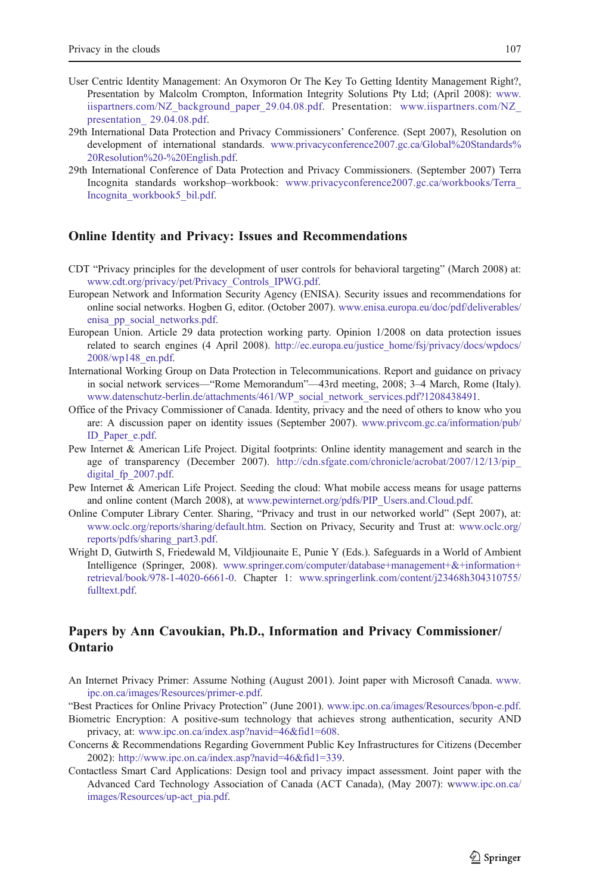- User Centric Identity Management: An Oxymoron Or The Key To Getting Identity Management Right?, Presentation by Malcolm Crompton, Information Integrity Solutions Pty Ltd; (April 2008): [www.](http://www.iispartners.com/NZ_background_paper_29.04.08.pdf) [iispartners.com/NZ\\_background\\_paper\\_29.04.08.pdf](http://www.iispartners.com/NZ_background_paper_29.04.08.pdf). Presentation: www.iispartners.com/NZ [presentation\\_ 29.04.08.pdf](http://www.iispartners.com/NZ_presentation_29.04.08.pdf).
- 29th International Data Protection and Privacy Commissioners' Conference. (Sept 2007), Resolution on development of international standards. [www.privacyconference2007.gc.ca/Global%20Standards%](http://www.privacyconference2007.gc.ca/Global%20Standards%20Resolution%20-%20English.pdf) [20Resolution%20-%20English.pdf](http://www.privacyconference2007.gc.ca/Global%20Standards%20Resolution%20-%20English.pdf).
- 29th International Conference of Data Protection and Privacy Commissioners. (September 2007) Terra Incognita standards workshop–workbook: [www.privacyconference2007.gc.ca/workbooks/Terra\\_](http://www.privacyconference2007.gc.ca/workbooks/Terra_Incognita_workbook5_bil.pdf) [Incognita\\_workbook5\\_bil.pdf.](http://www.privacyconference2007.gc.ca/workbooks/Terra_Incognita_workbook5_bil.pdf)

#### Online Identity and Privacy: Issues and Recommendations

- CDT "Privacy principles for the development of user controls for behavioral targeting" (March 2008) at: [www.cdt.org/privacy/pet/Privacy\\_Controls\\_IPWG.pdf.](http://www.cdt.org/privacy/pet/Privacy_Controls_IPWG.pdf)
- European Network and Information Security Agency (ENISA). Security issues and recommendations for online social networks. Hogben G, editor. (October 2007). [www.enisa.europa.eu/doc/pdf/deliverables/](http://www.enisa.europa.eu/doc/pdf/deliverables/enisa_pp_social_networks.pdf) [enisa\\_pp\\_social\\_networks.pdf.](http://www.enisa.europa.eu/doc/pdf/deliverables/enisa_pp_social_networks.pdf)
- European Union. Article 29 data protection working party. Opinion 1/2008 on data protection issues related to search engines (4 April 2008). [http://ec.europa.eu/justice\\_home/fsj/privacy/docs/wpdocs/](http://ec.europa.eu/justice_home/fsj/privacy/docs/wpdocs/2008/wp148_en.pdf) [2008/wp148\\_en.pdf.](http://ec.europa.eu/justice_home/fsj/privacy/docs/wpdocs/2008/wp148_en.pdf)
- International Working Group on Data Protection in Telecommunications. Report and guidance on privacy in social network services—"Rome Memorandum"—43rd meeting, 2008; 3–4 March, Rome (Italy). [www.datenschutz-berlin.de/attachments/461/WP\\_social\\_network\\_services.pdf?1208438491.](http://www.datenschutz-berlin.de/attachments/461/WP_social_network_services.pdf?1208438491)
- Office of the Privacy Commissioner of Canada. Identity, privacy and the need of others to know who you are: A discussion paper on identity issues (September 2007). [www.privcom.gc.ca/information/pub/](http://www.privcom.gc.ca/information/pub/ID_Paper_e.pdf) [ID\\_Paper\\_e.pdf](http://www.privcom.gc.ca/information/pub/ID_Paper_e.pdf).
- Pew Internet & American Life Project. Digital footprints: Online identity management and search in the age of transparency (December 2007). [http://cdn.sfgate.com/chronicle/acrobat/2007/12/13/pip\\_](http://cdn.sfgate.com/chronicle/acrobat/2007/12/13/pip_digital_fp_2007.pdf) [digital\\_fp\\_2007.pdf.](http://cdn.sfgate.com/chronicle/acrobat/2007/12/13/pip_digital_fp_2007.pdf)
- Pew Internet & American Life Project. Seeding the cloud: What mobile access means for usage patterns and online content (March 2008), at [www.pewinternet.org/pdfs/PIP\\_Users.and.Cloud.pdf.](http://www.pewinternet.org/pdfs/PIP_Users.and.Cloud.pdf)
- Online Computer Library Center. Sharing, "Privacy and trust in our networked world" (Sept 2007), at: [www.oclc.org/reports/sharing/default.htm](http://www.oclc.org/reports/sharing/default.htm). Section on Privacy, Security and Trust at: [www.oclc.org/](http://www.oclc.org/reports/pdfs/sharing_part3.pdf) [reports/pdfs/sharing\\_part3.pdf](http://www.oclc.org/reports/pdfs/sharing_part3.pdf).
- Wright D, Gutwirth S, Friedewald M, Vildjiounaite E, Punie Y (Eds.). Safeguards in a World of Ambient Intelligence (Springer, 2008). [www.springer.com/computer/database+management+&+information+](http://www.springer.com/computer/database+management+&+information+retrieval/book/978-1-4020-6661-0) [retrieval/book/978-1-4020-6661-0](http://www.springer.com/computer/database+management+&+information+retrieval/book/978-1-4020-6661-0). Chapter 1: [www.springerlink.com/content/j23468h304310755/](http://www.springerlink.com/content/j23468h304310755/fulltext.pdf) [fulltext.pdf](http://www.springerlink.com/content/j23468h304310755/fulltext.pdf).

### Papers by Ann Cavoukian, Ph.D., Information and Privacy Commissioner/ Ontario

- An Internet Privacy Primer: Assume Nothing (August 2001). Joint paper with Microsoft Canada. [www.](http://www.ipc.on.ca/images/Resources/primer-e.pdf) [ipc.on.ca/images/Resources/primer-e.pdf.](http://www.ipc.on.ca/images/Resources/primer-e.pdf)
- "Best Practices for Online Privacy Protection" (June 2001). [www.ipc.on.ca/images/Resources/bpon-e.pdf](http://www.ipc.on.ca/images/Resources/bpon-e.pdf). Biometric Encryption: A positive-sum technology that achieves strong authentication, security AND privacy, at: [www.ipc.on.ca/index.asp?navid=46&fid1=608](http://www.ipc.on.ca/index.asp?navid=46&fid1=608).
- Concerns & Recommendations Regarding Government Public Key Infrastructures for Citizens (December 2002): [http://www.ipc.on.ca/index.asp?navid=46&fid1=339.](http://www.ipc.on.ca/index.asp?navid=46&fid1=339)
- Contactless Smart Card Applications: Design tool and privacy impact assessment. Joint paper with the Advanced Card Technology Association of Canada (ACT Canada), (May 2007): [wwww.ipc.on.ca/](http://www.ipc.on.ca/images/Resources/up-act_pia.pdf) [images/Resources/up-act\\_pia.pdf.](http://www.ipc.on.ca/images/Resources/up-act_pia.pdf)